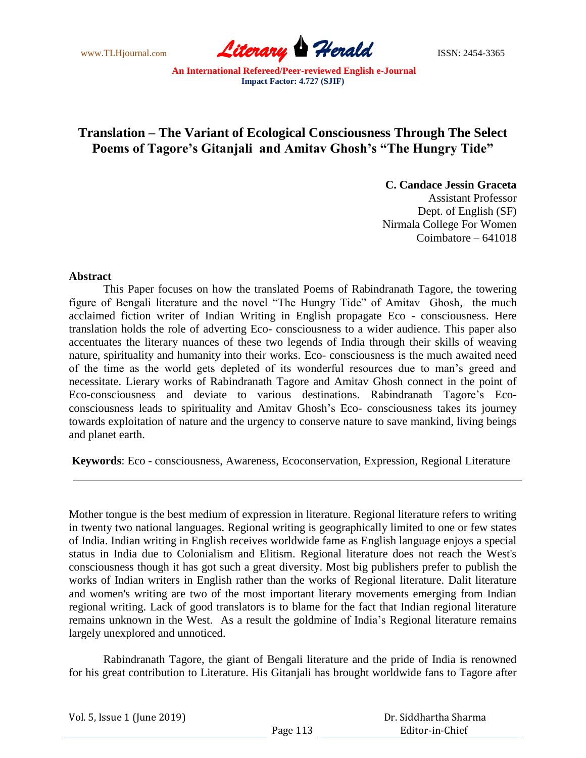www.TLHjournal.com **Literary Perald Herald** ISSN: 2454-3365

## **Translation – The Variant of Ecological Consciousness Through The Select Poems of Tagore's Gitanjali and Amitav Ghosh's "The Hungry Tide"**

**C. Candace Jessin Graceta**  Assistant Professor Dept. of English (SF) Nirmala College For Women Coimbatore – 641018

## **Abstract**

This Paper focuses on how the translated Poems of Rabindranath Tagore, the towering figure of Bengali literature and the novel "The Hungry Tide" of Amitav Ghosh, the much acclaimed fiction writer of Indian Writing in English propagate Eco - consciousness. Here translation holds the role of adverting Eco- consciousness to a wider audience. This paper also accentuates the literary nuances of these two legends of India through their skills of weaving nature, spirituality and humanity into their works. Eco- consciousness is the much awaited need of the time as the world gets depleted of its wonderful resources due to man's greed and necessitate. Lierary works of Rabindranath Tagore and Amitav Ghosh connect in the point of Eco-consciousness and deviate to various destinations. Rabindranath Tagore's Ecoconsciousness leads to spirituality and Amitav Ghosh's Eco- consciousness takes its journey towards exploitation of nature and the urgency to conserve nature to save mankind, living beings and planet earth.

**Keywords**: Eco - consciousness, Awareness, Ecoconservation, Expression, Regional Literature

Mother tongue is the best medium of expression in literature. Regional literature refers to writing in twenty two national languages. Regional writing is geographically limited to one or few states of India. Indian writing in English receives worldwide fame as English language enjoys a special status in India due to Colonialism and Elitism. Regional literature does not reach the West's consciousness though it has got such a great diversity. Most big publishers prefer to publish the works of Indian writers in English rather than the works of Regional literature. Dalit literature and women's writing are two of the most important literary movements emerging from Indian regional writing. Lack of good translators is to blame for the fact that Indian regional literature remains unknown in the West. As a result the goldmine of India's Regional literature remains largely unexplored and unnoticed.

Rabindranath Tagore, the giant of Bengali literature and the pride of India is renowned for his great contribution to Literature. His Gitanjali has brought worldwide fans to Tagore after

 Dr. Siddhartha Sharma Editor-in-Chief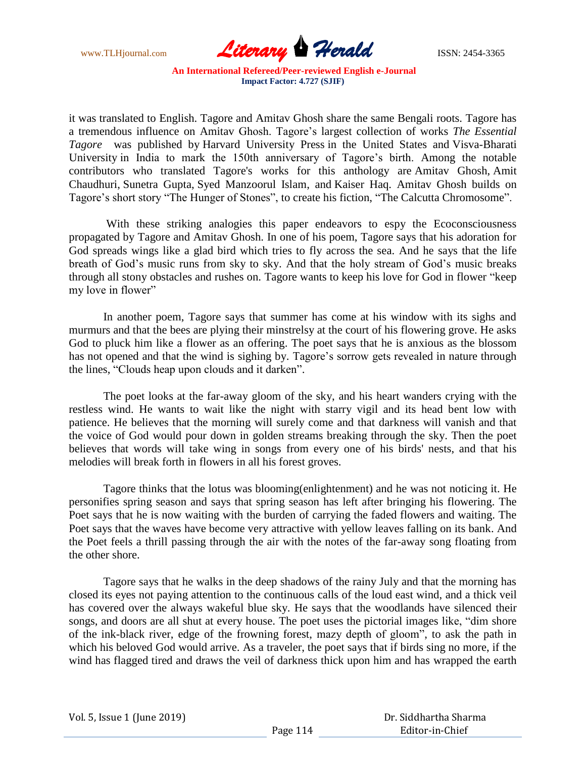

it was translated to English. Tagore and Amitav Ghosh share the same Bengali roots. Tagore has a tremendous influence on Amitav Ghosh. Tagore's largest collection of works *The Essential Tagore* was published by Harvard University Press in the United States and Visva-Bharati University in India to mark the 150th anniversary of Tagore's birth. Among the notable contributors who translated Tagore's works for this anthology are Amitav Ghosh, Amit Chaudhuri, Sunetra Gupta, Syed Manzoorul Islam, and Kaiser Haq. Amitav Ghosh builds on Tagore's short story "The Hunger of Stones", to create his fiction, "The Calcutta Chromosome".

With these striking analogies this paper endeavors to espy the Ecoconsciousness propagated by Tagore and Amitav Ghosh. In one of his poem, Tagore says that his adoration for God spreads wings like a glad bird which tries to fly across the sea. And he says that the life breath of God's music runs from sky to sky. And that the holy stream of God's music breaks through all stony obstacles and rushes on. Tagore wants to keep his love for God in flower "keep my love in flower"

In another poem, Tagore says that summer has come at his window with its sighs and murmurs and that the bees are plying their minstrelsy at the court of his flowering grove. He asks God to pluck him like a flower as an offering. The poet says that he is anxious as the blossom has not opened and that the wind is sighing by. Tagore's sorrow gets revealed in nature through the lines, "Clouds heap upon clouds and it darken".

The poet looks at the far-away gloom of the sky, and his heart wanders crying with the restless wind. He wants to wait like the night with starry vigil and its head bent low with patience. He believes that the morning will surely come and that darkness will vanish and that the voice of God would pour down in golden streams breaking through the sky. Then the poet believes that words will take wing in songs from every one of his birds' nests, and that his melodies will break forth in flowers in all his forest groves.

Tagore thinks that the lotus was blooming(enlightenment) and he was not noticing it. He personifies spring season and says that spring season has left after bringing his flowering. The Poet says that he is now waiting with the burden of carrying the faded flowers and waiting. The Poet says that the waves have become very attractive with yellow leaves falling on its bank. And the Poet feels a thrill passing through the air with the notes of the far-away song floating from the other shore.

Tagore says that he walks in the deep shadows of the rainy July and that the morning has closed its eyes not paying attention to the continuous calls of the loud east wind, and a thick veil has covered over the always wakeful blue sky. He says that the woodlands have silenced their songs, and doors are all shut at every house. The poet uses the pictorial images like, "dim shore of the ink-black river, edge of the frowning forest, mazy depth of gloom", to ask the path in which his beloved God would arrive. As a traveler, the poet says that if birds sing no more, if the wind has flagged tired and draws the veil of darkness thick upon him and has wrapped the earth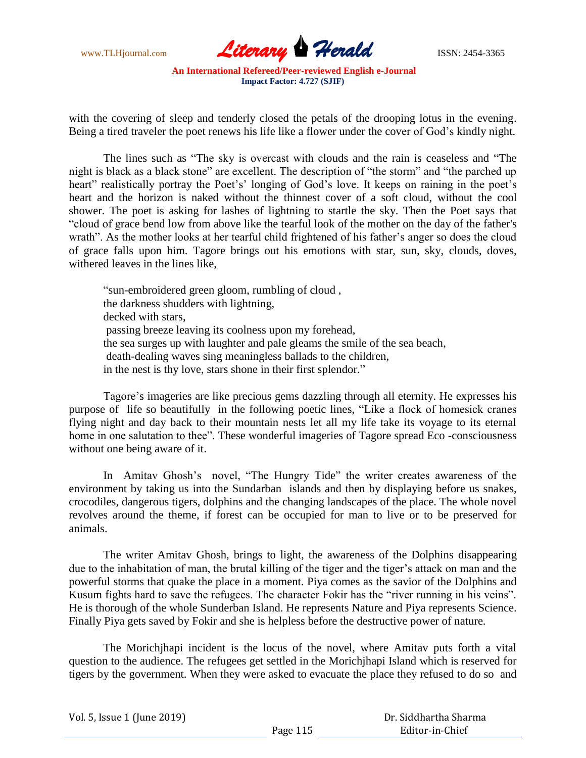

with the covering of sleep and tenderly closed the petals of the drooping lotus in the evening. Being a tired traveler the poet renews his life like a flower under the cover of God's kindly night.

The lines such as "The sky is overcast with clouds and the rain is ceaseless and "The night is black as a black stone" are excellent. The description of "the storm" and "the parched up heart" realistically portray the Poet's' longing of God's love. It keeps on raining in the poet's heart and the horizon is naked without the thinnest cover of a soft cloud, without the cool shower. The poet is asking for lashes of lightning to startle the sky. Then the Poet says that "cloud of grace bend low from above like the tearful look of the mother on the day of the father's wrath". As the mother looks at her tearful child frightened of his father's anger so does the cloud of grace falls upon him. Tagore brings out his emotions with star, sun, sky, clouds, doves, withered leaves in the lines like,

"sun-embroidered green gloom, rumbling of cloud , the darkness shudders with lightning, decked with stars, passing breeze leaving its coolness upon my forehead, the sea surges up with laughter and pale gleams the smile of the sea beach, death-dealing waves sing meaningless ballads to the children, in the nest is thy love, stars shone in their first splendor."

Tagore's imageries are like precious gems dazzling through all eternity. He expresses his purpose of life so beautifully in the following poetic lines, "Like a flock of homesick cranes flying night and day back to their mountain nests let all my life take its voyage to its eternal home in one salutation to thee". These wonderful imageries of Tagore spread Eco -consciousness without one being aware of it.

In Amitav Ghosh's novel, "The Hungry Tide" the writer creates awareness of the environment by taking us into the Sundarban islands and then by displaying before us snakes, crocodiles, dangerous tigers, dolphins and the changing landscapes of the place. The whole novel revolves around the theme, if forest can be occupied for man to live or to be preserved for animals.

The writer Amitav Ghosh, brings to light, the awareness of the Dolphins disappearing due to the inhabitation of man, the brutal killing of the tiger and the tiger's attack on man and the powerful storms that quake the place in a moment. Piya comes as the savior of the Dolphins and Kusum fights hard to save the refugees. The character Fokir has the "river running in his veins". He is thorough of the whole Sunderban Island. He represents Nature and Piya represents Science. Finally Piya gets saved by Fokir and she is helpless before the destructive power of nature.

The Morichjhapi incident is the locus of the novel, where Amitav puts forth a vital question to the audience. The refugees get settled in the Morichjhapi Island which is reserved for tigers by the government. When they were asked to evacuate the place they refused to do so and

| Vol. 5, Issue 1 (June 2019) |          | Dr. Siddhartha Sharma |
|-----------------------------|----------|-----------------------|
|                             | Page 115 | Editor-in-Chief       |